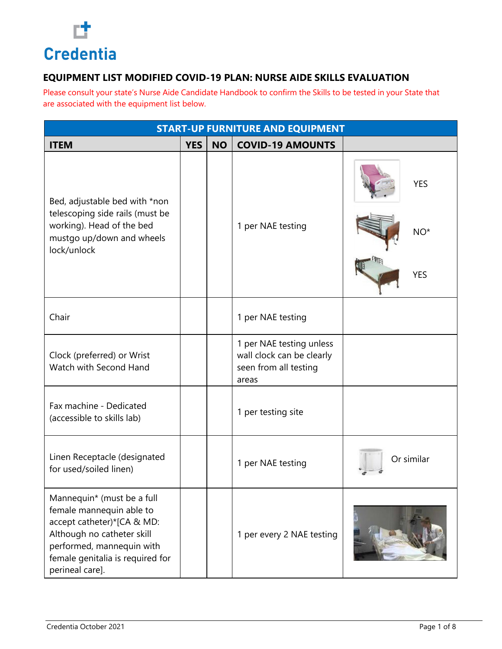

| <b>START-UP FURNITURE AND EQUIPMENT</b>                                                                                                                                                                |            |           |                                                                                         |                                   |  |  |  |
|--------------------------------------------------------------------------------------------------------------------------------------------------------------------------------------------------------|------------|-----------|-----------------------------------------------------------------------------------------|-----------------------------------|--|--|--|
| <b>ITEM</b>                                                                                                                                                                                            | <b>YES</b> | <b>NO</b> | <b>COVID-19 AMOUNTS</b>                                                                 |                                   |  |  |  |
| Bed, adjustable bed with *non<br>telescoping side rails (must be<br>working). Head of the bed<br>mustgo up/down and wheels<br>lock/unlock                                                              |            |           | 1 per NAE testing                                                                       | <b>YES</b><br>$NO*$<br><b>YES</b> |  |  |  |
| Chair                                                                                                                                                                                                  |            |           | 1 per NAE testing                                                                       |                                   |  |  |  |
| Clock (preferred) or Wrist<br>Watch with Second Hand                                                                                                                                                   |            |           | 1 per NAE testing unless<br>wall clock can be clearly<br>seen from all testing<br>areas |                                   |  |  |  |
| Fax machine - Dedicated<br>(accessible to skills lab)                                                                                                                                                  |            |           | 1 per testing site                                                                      |                                   |  |  |  |
| Linen Receptacle (designated<br>for used/soiled linen)                                                                                                                                                 |            |           | 1 per NAE testing                                                                       | Or similar                        |  |  |  |
| Mannequin* (must be a full<br>female mannequin able to<br>accept catheter)*[CA & MD:<br>Although no catheter skill<br>performed, mannequin with<br>female genitalia is required for<br>perineal care]. |            |           | 1 per every 2 NAE testing                                                               |                                   |  |  |  |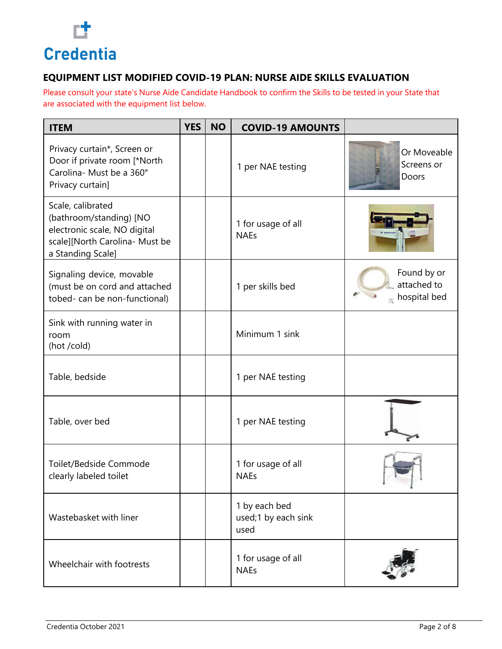

| <b>ITEM</b>                                                                                                                         | <b>YES</b> | <b>NO</b> | <b>COVID-19 AMOUNTS</b>                      |                                            |
|-------------------------------------------------------------------------------------------------------------------------------------|------------|-----------|----------------------------------------------|--------------------------------------------|
| Privacy curtain*, Screen or<br>Door if private room [*North<br>Carolina- Must be a 360°<br>Privacy curtain]                         |            |           | 1 per NAE testing                            | Or Moveable<br>Screens or<br>Doors         |
| Scale, calibrated<br>(bathroom/standing) [NO<br>electronic scale, NO digital<br>scale][North Carolina- Must be<br>a Standing Scale] |            |           | 1 for usage of all<br><b>NAEs</b>            |                                            |
| Signaling device, movable<br>(must be on cord and attached<br>tobed- can be non-functional)                                         |            |           | 1 per skills bed                             | Found by or<br>attached to<br>hospital bed |
| Sink with running water in<br>room<br>(hot /cold)                                                                                   |            |           | Minimum 1 sink                               |                                            |
| Table, bedside                                                                                                                      |            |           | 1 per NAE testing                            |                                            |
| Table, over bed                                                                                                                     |            |           | 1 per NAE testing                            |                                            |
| Toilet/Bedside Commode<br>clearly labeled toilet                                                                                    |            |           | 1 for usage of all<br><b>NAEs</b>            |                                            |
| Wastebasket with liner                                                                                                              |            |           | 1 by each bed<br>used;1 by each sink<br>used |                                            |
| Wheelchair with footrests                                                                                                           |            |           | 1 for usage of all<br><b>NAEs</b>            |                                            |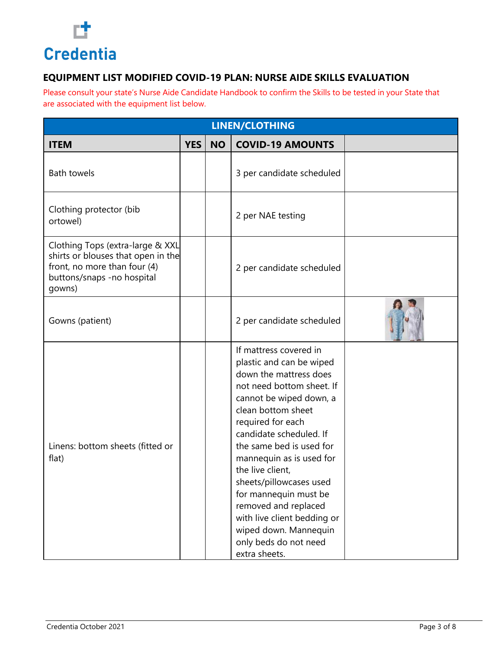

| LINEN/CLOTHING                                                                                                                                 |            |           |                                                                                                                                                                                                                                                                                                                                                                                                                                                                      |  |  |  |  |
|------------------------------------------------------------------------------------------------------------------------------------------------|------------|-----------|----------------------------------------------------------------------------------------------------------------------------------------------------------------------------------------------------------------------------------------------------------------------------------------------------------------------------------------------------------------------------------------------------------------------------------------------------------------------|--|--|--|--|
| <b>ITEM</b>                                                                                                                                    | <b>YES</b> | <b>NO</b> | <b>COVID-19 AMOUNTS</b>                                                                                                                                                                                                                                                                                                                                                                                                                                              |  |  |  |  |
| <b>Bath towels</b>                                                                                                                             |            |           | 3 per candidate scheduled                                                                                                                                                                                                                                                                                                                                                                                                                                            |  |  |  |  |
| Clothing protector (bib<br>ortowel)                                                                                                            |            |           | 2 per NAE testing                                                                                                                                                                                                                                                                                                                                                                                                                                                    |  |  |  |  |
| Clothing Tops (extra-large & XXL<br>shirts or blouses that open in the<br>front, no more than four (4)<br>buttons/snaps -no hospital<br>gowns) |            |           | 2 per candidate scheduled                                                                                                                                                                                                                                                                                                                                                                                                                                            |  |  |  |  |
| Gowns (patient)                                                                                                                                |            |           | 2 per candidate scheduled                                                                                                                                                                                                                                                                                                                                                                                                                                            |  |  |  |  |
| Linens: bottom sheets (fitted or<br>flat)                                                                                                      |            |           | If mattress covered in<br>plastic and can be wiped<br>down the mattress does<br>not need bottom sheet. If<br>cannot be wiped down, a<br>clean bottom sheet<br>required for each<br>candidate scheduled. If<br>the same bed is used for<br>mannequin as is used for<br>the live client,<br>sheets/pillowcases used<br>for mannequin must be<br>removed and replaced<br>with live client bedding or<br>wiped down. Mannequin<br>only beds do not need<br>extra sheets. |  |  |  |  |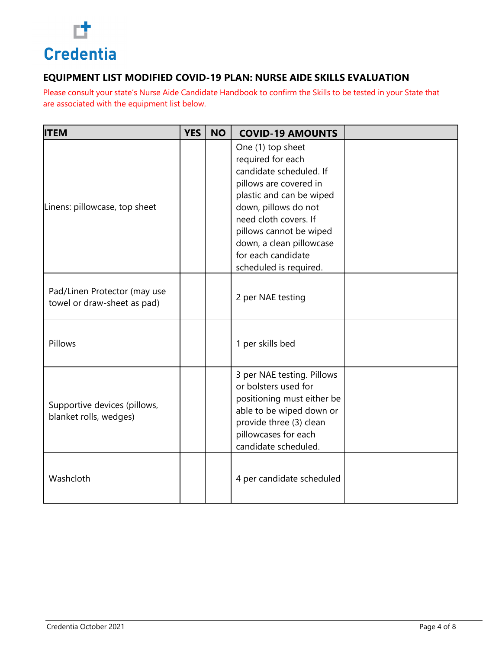

| <b>ITEM</b>                                                 | <b>YES</b> | <b>NO</b> | <b>COVID-19 AMOUNTS</b>                                                                                                                                                                                                                                                         |  |
|-------------------------------------------------------------|------------|-----------|---------------------------------------------------------------------------------------------------------------------------------------------------------------------------------------------------------------------------------------------------------------------------------|--|
| Linens: pillowcase, top sheet                               |            |           | One (1) top sheet<br>required for each<br>candidate scheduled. If<br>pillows are covered in<br>plastic and can be wiped<br>down, pillows do not<br>need cloth covers. If<br>pillows cannot be wiped<br>down, a clean pillowcase<br>for each candidate<br>scheduled is required. |  |
| Pad/Linen Protector (may use<br>towel or draw-sheet as pad) |            |           | 2 per NAE testing                                                                                                                                                                                                                                                               |  |
| Pillows                                                     |            |           | 1 per skills bed                                                                                                                                                                                                                                                                |  |
| Supportive devices (pillows,<br>blanket rolls, wedges)      |            |           | 3 per NAE testing. Pillows<br>or bolsters used for<br>positioning must either be<br>able to be wiped down or<br>provide three (3) clean<br>pillowcases for each<br>candidate scheduled.                                                                                         |  |
| Washcloth                                                   |            |           | 4 per candidate scheduled                                                                                                                                                                                                                                                       |  |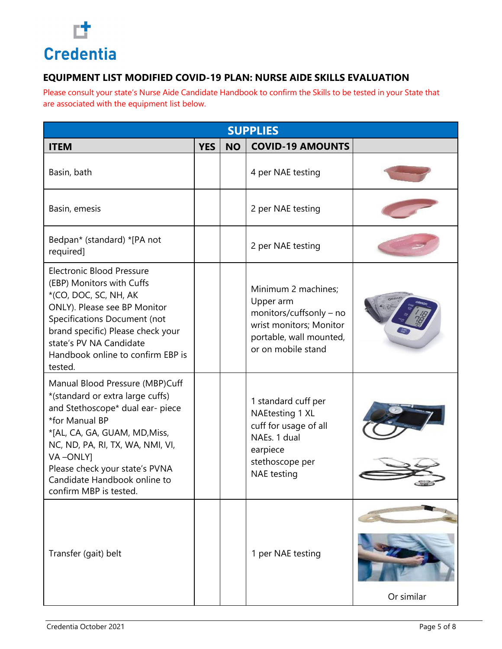

| <b>SUPPLIES</b>                                                                                                                                                                                                                                                                                        |            |           |                                                                                                                                         |            |  |  |
|--------------------------------------------------------------------------------------------------------------------------------------------------------------------------------------------------------------------------------------------------------------------------------------------------------|------------|-----------|-----------------------------------------------------------------------------------------------------------------------------------------|------------|--|--|
| <b>ITEM</b>                                                                                                                                                                                                                                                                                            | <b>YES</b> | <b>NO</b> | <b>COVID-19 AMOUNTS</b>                                                                                                                 |            |  |  |
| Basin, bath                                                                                                                                                                                                                                                                                            |            |           | 4 per NAE testing                                                                                                                       |            |  |  |
| Basin, emesis                                                                                                                                                                                                                                                                                          |            |           | 2 per NAE testing                                                                                                                       |            |  |  |
| Bedpan* (standard) *[PA not<br>required]                                                                                                                                                                                                                                                               |            |           | 2 per NAE testing                                                                                                                       |            |  |  |
| <b>Electronic Blood Pressure</b><br>(EBP) Monitors with Cuffs<br>*(CO, DOC, SC, NH, AK<br>ONLY). Please see BP Monitor<br>Specifications Document (not<br>brand specific) Please check your<br>state's PV NA Candidate<br>Handbook online to confirm EBP is<br>tested.                                 |            |           | Minimum 2 machines;<br>Upper arm<br>monitors/cuffsonly - no<br>wrist monitors; Monitor<br>portable, wall mounted,<br>or on mobile stand |            |  |  |
| Manual Blood Pressure (MBP)Cuff<br>*(standard or extra large cuffs)<br>and Stethoscope* dual ear- piece<br>*for Manual BP<br>*[AL, CA, GA, GUAM, MD, Miss,<br>NC, ND, PA, RI, TX, WA, NMI, VI,<br>VA-ONLY]<br>Please check your state's PVNA<br>Candidate Handbook online to<br>confirm MBP is tested. |            |           | 1 standard cuff per<br>NAEtesting 1 XL<br>cuff for usage of all<br>NAEs. 1 dual<br>earpiece<br>stethoscope per<br><b>NAE</b> testing    |            |  |  |
| Transfer (gait) belt                                                                                                                                                                                                                                                                                   |            |           | 1 per NAE testing                                                                                                                       | Or similar |  |  |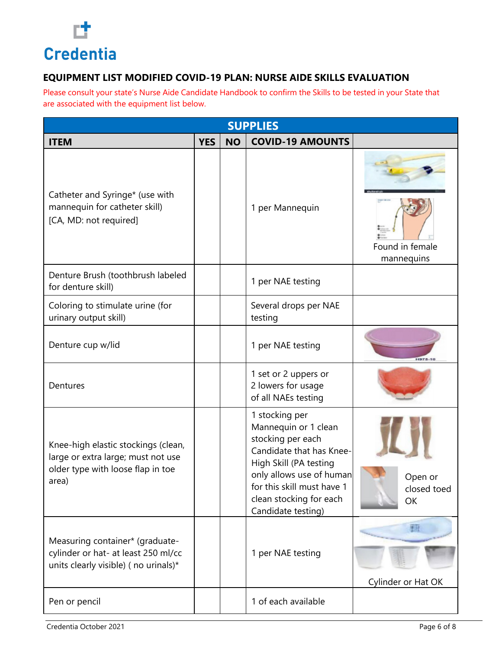

| <b>SUPPLIES</b>                                                                                                         |            |           |                                                                                                                                                                                                                              |                               |  |  |
|-------------------------------------------------------------------------------------------------------------------------|------------|-----------|------------------------------------------------------------------------------------------------------------------------------------------------------------------------------------------------------------------------------|-------------------------------|--|--|
| <b>ITEM</b>                                                                                                             | <b>YES</b> | <b>NO</b> | <b>COVID-19 AMOUNTS</b>                                                                                                                                                                                                      |                               |  |  |
| Catheter and Syringe* (use with<br>mannequin for catheter skill)<br>[CA, MD: not required]                              |            |           | 1 per Mannequin                                                                                                                                                                                                              | Found in female<br>mannequins |  |  |
| Denture Brush (toothbrush labeled<br>for denture skill)                                                                 |            |           | 1 per NAE testing                                                                                                                                                                                                            |                               |  |  |
| Coloring to stimulate urine (for<br>urinary output skill)                                                               |            |           | Several drops per NAE<br>testing                                                                                                                                                                                             |                               |  |  |
| Denture cup w/lid                                                                                                       |            |           | 1 per NAE testing                                                                                                                                                                                                            | <b>H975-10</b>                |  |  |
| Dentures                                                                                                                |            |           | 1 set or 2 uppers or<br>2 lowers for usage<br>of all NAEs testing                                                                                                                                                            |                               |  |  |
| Knee-high elastic stockings (clean,<br>large or extra large; must not use<br>older type with loose flap in toe<br>area) |            |           | 1 stocking per<br>Mannequin or 1 clean<br>stocking per each<br>Candidate that has Knee-<br>High Skill (PA testing<br>only allows use of human<br>for this skill must have 1<br>clean stocking for each<br>Candidate testing) | Open or<br>closed toed<br>OK  |  |  |
| Measuring container* (graduate-<br>cylinder or hat- at least 250 ml/cc<br>units clearly visible) (no urinals)*          |            |           | 1 per NAE testing                                                                                                                                                                                                            | Cylinder or Hat OK            |  |  |
| Pen or pencil                                                                                                           |            |           | 1 of each available                                                                                                                                                                                                          |                               |  |  |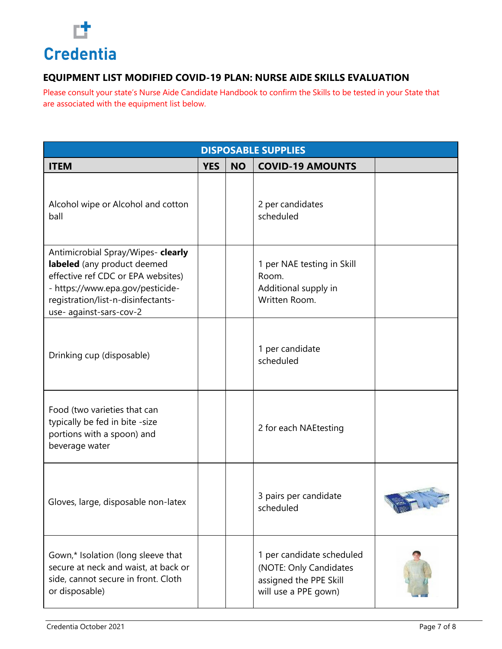

| <b>DISPOSABLE SUPPLIES</b>                                                                                                                                                                                   |            |           |                                                                                                       |       |  |  |
|--------------------------------------------------------------------------------------------------------------------------------------------------------------------------------------------------------------|------------|-----------|-------------------------------------------------------------------------------------------------------|-------|--|--|
| <b>ITEM</b>                                                                                                                                                                                                  | <b>YES</b> | <b>NO</b> | <b>COVID-19 AMOUNTS</b>                                                                               |       |  |  |
| Alcohol wipe or Alcohol and cotton<br>ball                                                                                                                                                                   |            |           | 2 per candidates<br>scheduled                                                                         |       |  |  |
| Antimicrobial Spray/Wipes- clearly<br>labeled (any product deemed<br>effective ref CDC or EPA websites)<br>- https://www.epa.gov/pesticide-<br>registration/list-n-disinfectants-<br>use- against-sars-cov-2 |            |           | 1 per NAE testing in Skill<br>Room.<br>Additional supply in<br>Written Room.                          |       |  |  |
| Drinking cup (disposable)                                                                                                                                                                                    |            |           | 1 per candidate<br>scheduled                                                                          |       |  |  |
| Food (two varieties that can<br>typically be fed in bite -size<br>portions with a spoon) and<br>beverage water                                                                                               |            |           | 2 for each NAEtesting                                                                                 |       |  |  |
| Gloves, large, disposable non-latex                                                                                                                                                                          |            |           | 3 pairs per candidate<br>scheduled                                                                    | N 79. |  |  |
| Gown,* Isolation (long sleeve that<br>secure at neck and waist, at back or<br>side, cannot secure in front. Cloth<br>or disposable)                                                                          |            |           | 1 per candidate scheduled<br>(NOTE: Only Candidates<br>assigned the PPE Skill<br>will use a PPE gown) |       |  |  |